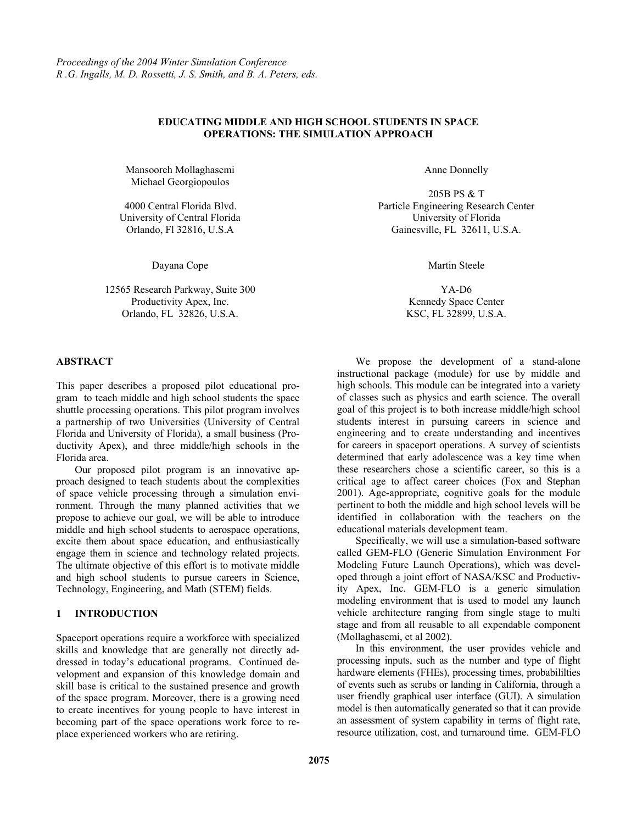### **EDUCATING MIDDLE AND HIGH SCHOOL STUDENTS IN SPACE OPERATIONS: THE SIMULATION APPROACH**

Mansooreh Mollaghasemi Michael Georgiopoulos

 4000 Central Florida Blvd. University of Central Florida Orlando, Fl 32816, U.S.A

Dayana Cope

12565 Research Parkway, Suite 300 Productivity Apex, Inc. Orlando, FL 32826, U.S.A.

**ABSTRACT** 

This paper describes a proposed pilot educational program to teach middle and high school students the space shuttle processing operations. This pilot program involves a partnership of two Universities (University of Central Florida and University of Florida), a small business (Productivity Apex), and three middle/high schools in the Florida area. Our proposed pilot program is an innovative ap-

proach designed to teach students about the complexities of space vehicle processing through a simulation environment. Through the many planned activities that we propose to achieve our goal, we will be able to introduce middle and high school students to aerospace operations, excite them about space education, and enthusiastically engage them in science and technology related projects. The ultimate objective of this effort is to motivate middle and high school students to pursue careers in Science, Technology, Engineering, and Math (STEM) fields.

### **1 INTRODUCTION**

Spaceport operations require a workforce with specialized skills and knowledge that are generally not directly addressed in today's educational programs. Continued development and expansion of this knowledge domain and skill base is critical to the sustained presence and growth of the space program. Moreover, there is a growing need to create incentives for young people to have interest in becoming part of the space operations work force to replace experienced workers who are retiring.

Anne Donnelly

205B PS & T Particle Engineering Research Center University of Florida Gainesville, FL 32611, U.S.A.

Martin Steele

YA-D6 Kennedy Space Center KSC, FL 32899, U.S.A.

 We propose the development of a stand-alone instructional package (module) for use by middle and high schools. This module can be integrated into a variety of classes such as physics and earth science. The overall goal of this project is to both increase middle/high school students interest in pursuing careers in science and engineering and to create understanding and incentives for careers in spaceport operations. A survey of scientists determined that early adolescence was a key time when these researchers chose a scientific career, so this is a critical age to affect career choices (Fox and Stephan 2001). Age-appropriate, cognitive goals for the module pertinent to both the middle and high school levels will be identified in collaboration with the teachers on the educational materials development team.

Specifically, we will use a simulation-based software called GEM-FLO (Generic Simulation Environment For Modeling Future Launch Operations), which was developed through a joint effort of NASA/KSC and Productivity Apex, Inc. GEM-FLO is a generic simulation modeling environment that is used to model any launch vehicle architecture ranging from single stage to multi stage and from all reusable to all expendable component (Mollaghasemi, et al 2002).

 In this environment, the user provides vehicle and processing inputs, such as the number and type of flight hardware elements (FHEs), processing times, probabililties of events such as scrubs or landing in California, through a user friendly graphical user interface (GUI). A simulation model is then automatically generated so that it can provide an assessment of system capability in terms of flight rate, resource utilization, cost, and turnaround time. GEM-FLO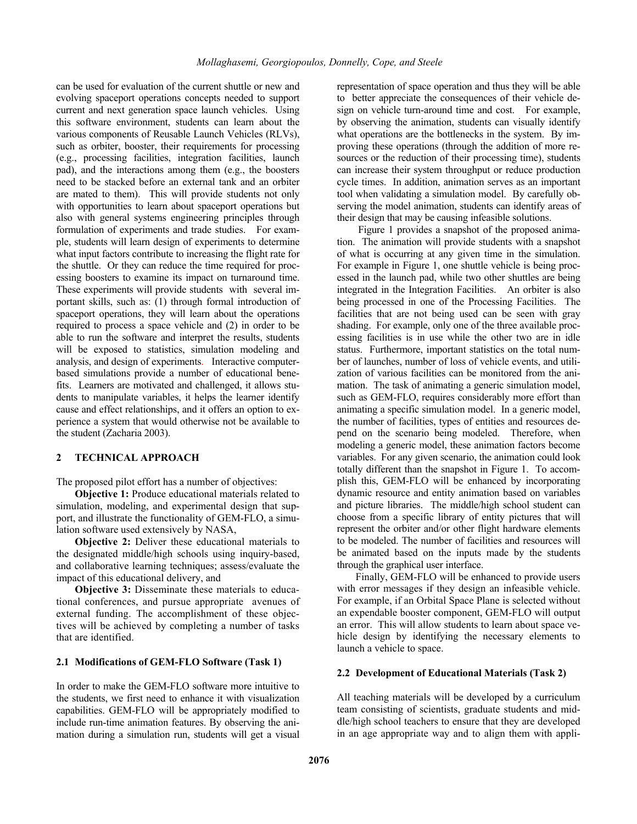can be used for evaluation of the current shuttle or new and evolving spaceport operations concepts needed to support current and next generation space launch vehicles. Using this software environment, students can learn about the various components of Reusable Launch Vehicles (RLVs), such as orbiter, booster, their requirements for processing (e.g., processing facilities, integration facilities, launch pad), and the interactions among them (e.g., the boosters need to be stacked before an external tank and an orbiter are mated to them). This will provide students not only with opportunities to learn about spaceport operations but also with general systems engineering principles through formulation of experiments and trade studies. For example, students will learn design of experiments to determine what input factors contribute to increasing the flight rate for the shuttle. Or they can reduce the time required for processing boosters to examine its impact on turnaround time. These experiments will provide students with several important skills, such as: (1) through formal introduction of spaceport operations, they will learn about the operations required to process a space vehicle and (2) in order to be able to run the software and interpret the results, students will be exposed to statistics, simulation modeling and analysis, and design of experiments. Interactive computerbased simulations provide a number of educational benefits. Learners are motivated and challenged, it allows students to manipulate variables, it helps the learner identify cause and effect relationships, and it offers an option to experience a system that would otherwise not be available to the student (Zacharia 2003).

## **2 TECHNICAL APPROACH**

The proposed pilot effort has a number of objectives:

**Objective 1:** Produce educational materials related to simulation, modeling, and experimental design that support, and illustrate the functionality of GEM-FLO, a simulation software used extensively by NASA,

**Objective 2:** Deliver these educational materials to the designated middle/high schools using inquiry-based, and collaborative learning techniques; assess/evaluate the impact of this educational delivery, and

**Objective 3:** Disseminate these materials to educational conferences, and pursue appropriate avenues of external funding. The accomplishment of these objectives will be achieved by completing a number of tasks that are identified.

#### **2.1 Modifications of GEM-FLO Software (Task 1)**

In order to make the GEM-FLO software more intuitive to the students, we first need to enhance it with visualization capabilities. GEM-FLO will be appropriately modified to include run-time animation features. By observing the animation during a simulation run, students will get a visual

representation of space operation and thus they will be able to better appreciate the consequences of their vehicle design on vehicle turn-around time and cost. For example, by observing the animation, students can visually identify what operations are the bottlenecks in the system. By improving these operations (through the addition of more resources or the reduction of their processing time), students can increase their system throughput or reduce production cycle times. In addition, animation serves as an important tool when validating a simulation model. By carefully observing the model animation, students can identify areas of their design that may be causing infeasible solutions.

 Figure 1 provides a snapshot of the proposed animation. The animation will provide students with a snapshot of what is occurring at any given time in the simulation. For example in Figure 1, one shuttle vehicle is being processed in the launch pad, while two other shuttles are being integrated in the Integration Facilities. An orbiter is also being processed in one of the Processing Facilities. The facilities that are not being used can be seen with gray shading. For example, only one of the three available processing facilities is in use while the other two are in idle status. Furthermore, important statistics on the total number of launches, number of loss of vehicle events, and utilization of various facilities can be monitored from the animation. The task of animating a generic simulation model, such as GEM-FLO, requires considerably more effort than animating a specific simulation model. In a generic model, the number of facilities, types of entities and resources depend on the scenario being modeled. Therefore, when modeling a generic model, these animation factors become variables. For any given scenario, the animation could look totally different than the snapshot in Figure 1. To accomplish this, GEM-FLO will be enhanced by incorporating dynamic resource and entity animation based on variables and picture libraries. The middle/high school student can choose from a specific library of entity pictures that will represent the orbiter and/or other flight hardware elements to be modeled. The number of facilities and resources will be animated based on the inputs made by the students through the graphical user interface.

 Finally, GEM-FLO will be enhanced to provide users with error messages if they design an infeasible vehicle. For example, if an Orbital Space Plane is selected without an expendable booster component, GEM-FLO will output an error. This will allow students to learn about space vehicle design by identifying the necessary elements to launch a vehicle to space.

#### **2.2 Development of Educational Materials (Task 2)**

All teaching materials will be developed by a curriculum team consisting of scientists, graduate students and middle/high school teachers to ensure that they are developed in an age appropriate way and to align them with appli-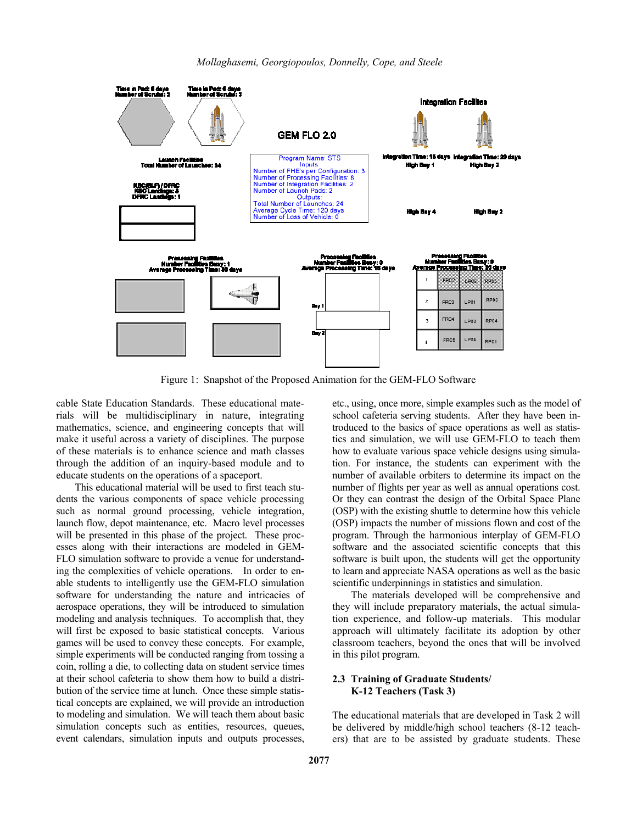

Figure 1: Snapshot of the Proposed Animation for the GEM-FLO Software

cable State Education Standards. These educational materials will be multidisciplinary in nature, integrating mathematics, science, and engineering concepts that will make it useful across a variety of disciplines. The purpose of these materials is to enhance science and math classes through the addition of an inquiry-based module and to educate students on the operations of a spaceport.

This educational material will be used to first teach students the various components of space vehicle processing such as normal ground processing, vehicle integration, launch flow, depot maintenance, etc. Macro level processes will be presented in this phase of the project. These processes along with their interactions are modeled in GEM-FLO simulation software to provide a venue for understanding the complexities of vehicle operations. In order to enable students to intelligently use the GEM-FLO simulation software for understanding the nature and intricacies of aerospace operations, they will be introduced to simulation modeling and analysis techniques. To accomplish that, they will first be exposed to basic statistical concepts. Various games will be used to convey these concepts. For example, simple experiments will be conducted ranging from tossing a coin, rolling a die, to collecting data on student service times at their school cafeteria to show them how to build a distribution of the service time at lunch. Once these simple statistical concepts are explained, we will provide an introduction to modeling and simulation. We will teach them about basic simulation concepts such as entities, resources, queues, event calendars, simulation inputs and outputs processes,

etc., using, once more, simple examples such as the model of school cafeteria serving students. After they have been introduced to the basics of space operations as well as statistics and simulation, we will use GEM-FLO to teach them how to evaluate various space vehicle designs using simulation. For instance, the students can experiment with the number of available orbiters to determine its impact on the number of flights per year as well as annual operations cost. Or they can contrast the design of the Orbital Space Plane (OSP) with the existing shuttle to determine how this vehicle (OSP) impacts the number of missions flown and cost of the program. Through the harmonious interplay of GEM-FLO software and the associated scientific concepts that this software is built upon, the students will get the opportunity to learn and appreciate NASA operations as well as the basic scientific underpinnings in statistics and simulation.

 The materials developed will be comprehensive and they will include preparatory materials, the actual simulation experience, and follow-up materials. This modular approach will ultimately facilitate its adoption by other classroom teachers, beyond the ones that will be involved in this pilot program.

### **2.3 Training of Graduate Students/ K-12 Teachers (Task 3)**

The educational materials that are developed in Task 2 will be delivered by middle/high school teachers (8-12 teachers) that are to be assisted by graduate students. These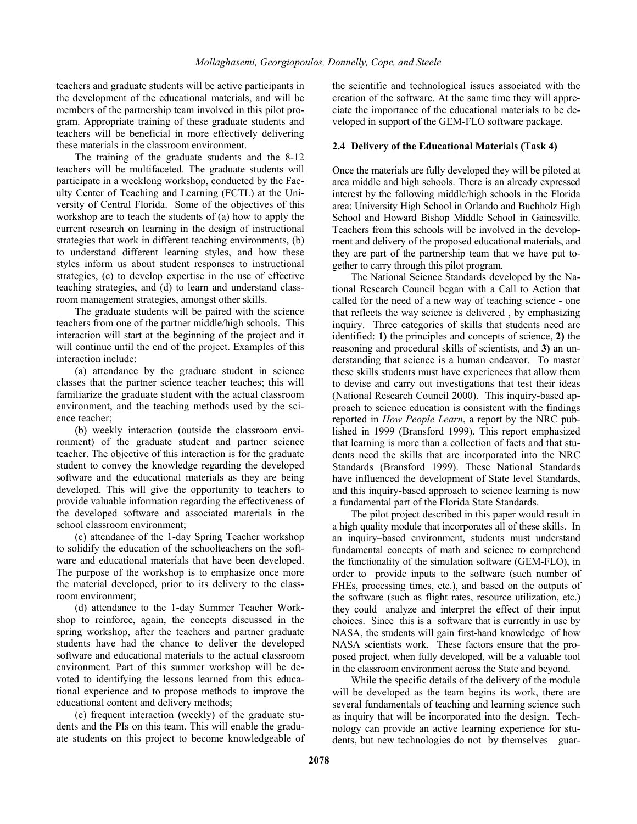teachers and graduate students will be active participants in the development of the educational materials, and will be members of the partnership team involved in this pilot program. Appropriate training of these graduate students and teachers will be beneficial in more effectively delivering these materials in the classroom environment.

 The training of the graduate students and the 8-12 teachers will be multifaceted. The graduate students will participate in a weeklong workshop, conducted by the Faculty Center of Teaching and Learning (FCTL) at the University of Central Florida. Some of the objectives of this workshop are to teach the students of (a) how to apply the current research on learning in the design of instructional strategies that work in different teaching environments, (b) to understand different learning styles, and how these styles inform us about student responses to instructional strategies, (c) to develop expertise in the use of effective teaching strategies, and (d) to learn and understand classroom management strategies, amongst other skills.

 The graduate students will be paired with the science teachers from one of the partner middle/high schools. This interaction will start at the beginning of the project and it will continue until the end of the project. Examples of this interaction include:

 (a) attendance by the graduate student in science classes that the partner science teacher teaches; this will familiarize the graduate student with the actual classroom environment, and the teaching methods used by the science teacher;

 (b) weekly interaction (outside the classroom environment) of the graduate student and partner science teacher. The objective of this interaction is for the graduate student to convey the knowledge regarding the developed software and the educational materials as they are being developed. This will give the opportunity to teachers to provide valuable information regarding the effectiveness of the developed software and associated materials in the school classroom environment;

 (c) attendance of the 1-day Spring Teacher workshop to solidify the education of the schoolteachers on the software and educational materials that have been developed. The purpose of the workshop is to emphasize once more the material developed, prior to its delivery to the classroom environment;

 (d) attendance to the 1-day Summer Teacher Workshop to reinforce, again, the concepts discussed in the spring workshop, after the teachers and partner graduate students have had the chance to deliver the developed software and educational materials to the actual classroom environment. Part of this summer workshop will be devoted to identifying the lessons learned from this educational experience and to propose methods to improve the educational content and delivery methods;

 (e) frequent interaction (weekly) of the graduate students and the PIs on this team. This will enable the graduate students on this project to become knowledgeable of the scientific and technological issues associated with the creation of the software. At the same time they will appreciate the importance of the educational materials to be developed in support of the GEM-FLO software package.

# **2.4 Delivery of the Educational Materials (Task 4)**

Once the materials are fully developed they will be piloted at area middle and high schools. There is an already expressed interest by the following middle/high schools in the Florida area: University High School in Orlando and Buchholz High School and Howard Bishop Middle School in Gainesville. Teachers from this schools will be involved in the development and delivery of the proposed educational materials, and they are part of the partnership team that we have put together to carry through this pilot program.

 The National Science Standards developed by the National Research Council began with a Call to Action that called for the need of a new way of teaching science - one that reflects the way science is delivered , by emphasizing inquiry. Three categories of skills that students need are identified: **1)** the principles and concepts of science, **2)** the reasoning and procedural skills of scientists, and **3)** an understanding that science is a human endeavor. To master these skills students must have experiences that allow them to devise and carry out investigations that test their ideas (National Research Council 2000). This inquiry-based approach to science education is consistent with the findings reported in *How People Learn*, a report by the NRC published in 1999 (Bransford 1999). This report emphasized that learning is more than a collection of facts and that students need the skills that are incorporated into the NRC Standards (Bransford 1999). These National Standards have influenced the development of State level Standards, and this inquiry-based approach to science learning is now a fundamental part of the Florida State Standards.

 The pilot project described in this paper would result in a high quality module that incorporates all of these skills. In an inquiry–based environment, students must understand fundamental concepts of math and science to comprehend the functionality of the simulation software (GEM-FLO), in order to provide inputs to the software (such number of FHEs, processing times, etc.), and based on the outputs of the software (such as flight rates, resource utilization, etc.) they could analyze and interpret the effect of their input choices. Since this is a software that is currently in use by NASA, the students will gain first-hand knowledge of how NASA scientists work. These factors ensure that the proposed project, when fully developed, will be a valuable tool in the classroom environment across the State and beyond.

While the specific details of the delivery of the module will be developed as the team begins its work, there are several fundamentals of teaching and learning science such as inquiry that will be incorporated into the design. Technology can provide an active learning experience for students, but new technologies do not by themselves guar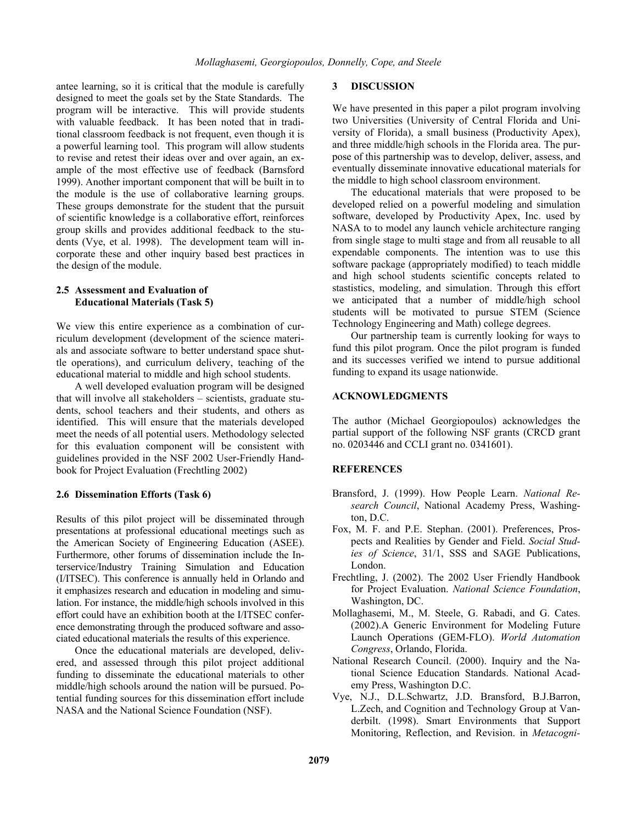antee learning, so it is critical that the module is carefully designed to meet the goals set by the State Standards. The program will be interactive. This will provide students with valuable feedback. It has been noted that in traditional classroom feedback is not frequent, even though it is a powerful learning tool. This program will allow students to revise and retest their ideas over and over again, an example of the most effective use of feedback (Barnsford 1999). Another important component that will be built in to the module is the use of collaborative learning groups. These groups demonstrate for the student that the pursuit of scientific knowledge is a collaborative effort, reinforces group skills and provides additional feedback to the students (Vye, et al. 1998). The development team will incorporate these and other inquiry based best practices in the design of the module.

### **2.5 Assessment and Evaluation of Educational Materials (Task 5)**

We view this entire experience as a combination of curriculum development (development of the science materials and associate software to better understand space shuttle operations), and curriculum delivery, teaching of the educational material to middle and high school students.

A well developed evaluation program will be designed that will involve all stakeholders – scientists, graduate students, school teachers and their students, and others as identified. This will ensure that the materials developed meet the needs of all potential users. Methodology selected for this evaluation component will be consistent with guidelines provided in the NSF 2002 User-Friendly Handbook for Project Evaluation (Frechtling 2002)

# **2.6 Dissemination Efforts (Task 6)**

Results of this pilot project will be disseminated through presentations at professional educational meetings such as the American Society of Engineering Education (ASEE). Furthermore, other forums of dissemination include the Interservice/Industry Training Simulation and Education (I/ITSEC). This conference is annually held in Orlando and it emphasizes research and education in modeling and simulation. For instance, the middle/high schools involved in this effort could have an exhibition booth at the I/ITSEC conference demonstrating through the produced software and associated educational materials the results of this experience.

 Once the educational materials are developed, delivered, and assessed through this pilot project additional funding to disseminate the educational materials to other middle/high schools around the nation will be pursued. Potential funding sources for this dissemination effort include NASA and the National Science Foundation (NSF).

### **3 DISCUSSION**

We have presented in this paper a pilot program involving two Universities (University of Central Florida and University of Florida), a small business (Productivity Apex), and three middle/high schools in the Florida area. The purpose of this partnership was to develop, deliver, assess, and eventually disseminate innovative educational materials for the middle to high school classroom environment.

The educational materials that were proposed to be developed relied on a powerful modeling and simulation software, developed by Productivity Apex, Inc. used by NASA to to model any launch vehicle architecture ranging from single stage to multi stage and from all reusable to all expendable components. The intention was to use this software package (appropriately modified) to teach middle and high school students scientific concepts related to stastistics, modeling, and simulation. Through this effort we anticipated that a number of middle/high school students will be motivated to pursue STEM (Science Technology Engineering and Math) college degrees.

 Our partnership team is currently looking for ways to fund this pilot program. Once the pilot program is funded and its successes verified we intend to pursue additional funding to expand its usage nationwide.

### **ACKNOWLEDGMENTS**

The author (Michael Georgiopoulos) acknowledges the partial support of the following NSF grants (CRCD grant no. 0203446 and CCLI grant no. 0341601).

#### **REFERENCES**

- Bransford, J. (1999). How People Learn. *National Research Council*, National Academy Press, Washington, D.C.
- Fox, M. F. and P.E. Stephan. (2001). Preferences, Prospects and Realities by Gender and Field. *Social Studies of Science*, 31/1, SSS and SAGE Publications, London.
- Frechtling, J. (2002). The 2002 User Friendly Handbook for Project Evaluation. *National Science Foundation*, Washington, DC.
- Mollaghasemi, M., M. Steele, G. Rabadi, and G. Cates. (2002).A Generic Environment for Modeling Future Launch Operations (GEM-FLO). *World Automation Congress*, Orlando, Florida.
- National Research Council. (2000). Inquiry and the National Science Education Standards. National Academy Press, Washington D.C.
- Vye, N.J., D.L.Schwartz, J.D. Bransford, B.J.Barron, L.Zech, and Cognition and Technology Group at Vanderbilt. (1998). Smart Environments that Support Monitoring, Reflection, and Revision. in *Metacogni-*